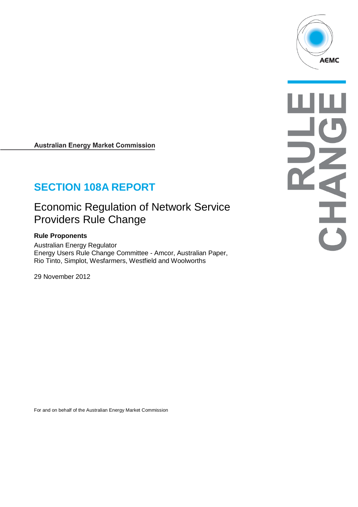

# **SECTION 108A REPORT**

# Economic Regulation of Network Service Providers Rule Change

## **Rule Proponents**

Australian Energy Regulator Energy Users Rule Change Committee - Amcor, Australian Paper, Rio Tinto, Simplot, Wesfarmers, Westfield and Woolworths

29 November 2012

For and on behalf of the Australian Energy Market Commission

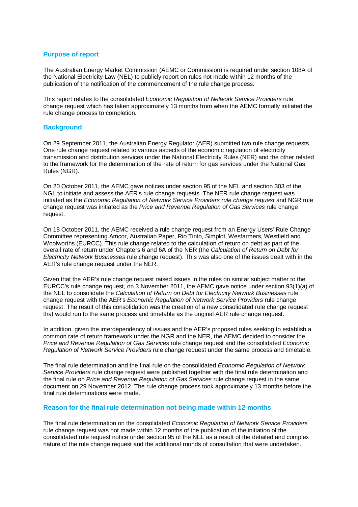### **Purpose of report**

The Australian Energy Market Commission (AEMC or Commission) is required under section 108A of the National Electricity Law (NEL) to publicly report on rules not made within 12 months of the publication of the notification of the commencement of the rule change process.

This report relates to the consolidated *Economic Regulation of Network Service Providers* rule change request which has taken approximately 13 months from when the AEMC formally initiated the rule change process to completion.

#### **Background**

On 29 September 2011, the Australian Energy Regulator (AER) submitted two rule change requests. One rule change request related to various aspects of the economic regulation of electricity transmission and distribution services under the National Electricity Rules (NER) and the other related to the framework for the determination of the rate of return for gas services under the National Gas Rules (NGR).

On 20 October 2011, the AEMC gave notices under section 95 of the NEL and section 303 of the NGL to initiate and assess the AER's rule change requests. The NER rule change request was initiated as the *Economic Regulation of Network Service Providers rule change request* and NGR rule change request was initiated as the *Price and Revenue Regulation of Gas Services* rule change request.

On 18 October 2011, the AEMC received a rule change request from an Energy Users' Rule Change Committee representing Amcor, Australian Paper, Rio Tinto, Simplot, Wesfarmers, Westfield and Woolworths (EURCC). This rule change related to the calculation of return on debt as part of the overall rate of return under Chapters 6 and 6A of the NER (the *Calculation of Return on Debt for Electricity Network Businesses* rule change request). This was also one of the issues dealt with in the AER's rule change request under the NER.

Given that the AER's rule change request raised issues in the rules on similar subject matter to the EURCC's rule change request, on 3 November 2011, the AEMC gave notice under section 93(1)(a) of the NEL to consolidate the *Calculation of Return on Debt for Electricity Network Businesses* rule change request with the AER's *Economic Regulation of Network Service Providers* rule change request. The result of this consolidation was the creation of a new consolidated rule change request that would run to the same process and timetable as the original AER rule change request.

In addition, given the interdependency of issues and the AER's proposed rules seeking to establish a common rate of return framework under the NGR and the NER, the AEMC decided to consider the *Price and Revenue Regulation of Gas Services* rule change request and the consolidated *Economic Regulation of Network Service Providers* rule change request under the same process and timetable.

The final rule determination and the final rule on the consolidated *Economic Regulation of Network Service Providers* rule change request were published together with the final rule determination and the final rule on *Price and Revenue Regulation of Gas Services* rule change request in the same document on 29 November 2012. The rule change process took approximately 13 months before the final rule determinations were made.

#### **Reason for the final rule determination not being made within 12 months**

The final rule determination on the consolidated *Economic Regulation of Network Service Providers* rule change request was not made within 12 months of the publication of the initiation of the consolidated rule request notice under section 95 of the NEL as a result of the detailed and complex nature of the rule change request and the additional rounds of consultation that were undertaken.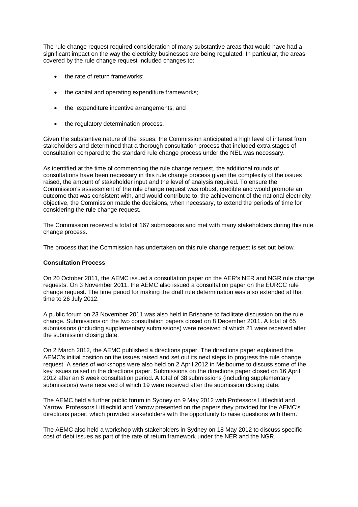The rule change request required consideration of many substantive areas that would have had a significant impact on the way the electricity businesses are being regulated. In particular, the areas covered by the rule change request included changes to:

- the rate of return frameworks;
- the capital and operating expenditure frameworks;
- the expenditure incentive arrangements; and
- the regulatory determination process.

Given the substantive nature of the issues, the Commission anticipated a high level of interest from stakeholders and determined that a thorough consultation process that included extra stages of consultation compared to the standard rule change process under the NEL was necessary.

As identified at the time of commencing the rule change request, the additional rounds of consultations have been necessary in this rule change process given the complexity of the issues raised, the amount of stakeholder input and the level of analysis required. To ensure the Commission's assessment of the rule change request was robust, credible and would promote an outcome that was consistent with, and would contribute to, the achievement of the national electricity objective, the Commission made the decisions, when necessary, to extend the periods of time for considering the rule change request.

The Commission received a total of 167 submissions and met with many stakeholders during this rule change process.

The process that the Commission has undertaken on this rule change request is set out below.

#### **Consultation Process**

On 20 October 2011, the AEMC issued a consultation paper on the AER's NER and NGR rule change requests. On 3 November 2011, the AEMC also issued a consultation paper on the EURCC rule change request. The time period for making the draft rule determination was also extended at that time to 26 July 2012.

A public forum on 23 November 2011 was also held in Brisbane to facilitate discussion on the rule change. Submissions on the two consultation papers closed on 8 December 2011. A total of 65 submissions (including supplementary submissions) were received of which 21 were received after the submission closing date.

On 2 March 2012, the AEMC published a directions paper. The directions paper explained the AEMC's initial position on the issues raised and set out its next steps to progress the rule change request. A series of workshops were also held on 2 April 2012 in Melbourne to discuss some of the key issues raised in the directions paper. Submissions on the directions paper closed on 16 April 2012 after an 8 week consultation period. A total of 38 submissions (including supplementary submissions) were received of which 19 were received after the submission closing date.

The AEMC held a further public forum in Sydney on 9 May 2012 with Professors Littlechild and Yarrow. Professors Littlechild and Yarrow presented on the papers they provided for the AEMC's directions paper, which provided stakeholders with the opportunity to raise questions with them.

The AEMC also held a workshop with stakeholders in Sydney on 18 May 2012 to discuss specific cost of debt issues as part of the rate of return framework under the NER and the NGR.